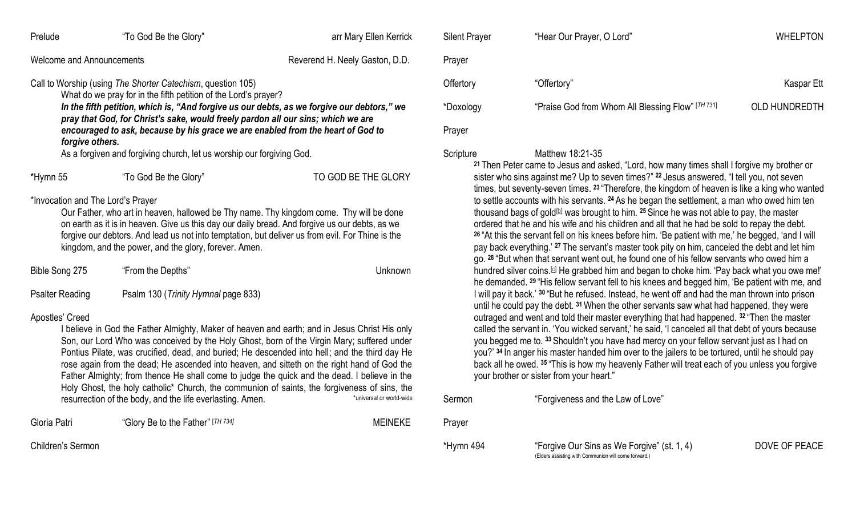| Prelude                                                                                                                                                                                                                                                                                                                                                                                                                                                                                                                                                                                                                                                                                                                                                                  | "To God Be the Glory"             | arr Mary Ellen Kerrick | <b>Silent Prayer</b>                                                                                                                                                                                                                                                                                                                                                                                                                                                                                                                                                                                                                                                                                                                                                                       | "Hear Our Prayer, O Lord"                                                                                                                                                                                 | <b>WHELPTON</b> |
|--------------------------------------------------------------------------------------------------------------------------------------------------------------------------------------------------------------------------------------------------------------------------------------------------------------------------------------------------------------------------------------------------------------------------------------------------------------------------------------------------------------------------------------------------------------------------------------------------------------------------------------------------------------------------------------------------------------------------------------------------------------------------|-----------------------------------|------------------------|--------------------------------------------------------------------------------------------------------------------------------------------------------------------------------------------------------------------------------------------------------------------------------------------------------------------------------------------------------------------------------------------------------------------------------------------------------------------------------------------------------------------------------------------------------------------------------------------------------------------------------------------------------------------------------------------------------------------------------------------------------------------------------------------|-----------------------------------------------------------------------------------------------------------------------------------------------------------------------------------------------------------|-----------------|
| Welcome and Announcements<br>Reverend H. Neely Gaston, D.D.                                                                                                                                                                                                                                                                                                                                                                                                                                                                                                                                                                                                                                                                                                              |                                   | Prayer                 |                                                                                                                                                                                                                                                                                                                                                                                                                                                                                                                                                                                                                                                                                                                                                                                            |                                                                                                                                                                                                           |                 |
| Call to Worship (using The Shorter Catechism, question 105)                                                                                                                                                                                                                                                                                                                                                                                                                                                                                                                                                                                                                                                                                                              |                                   |                        | Offertory                                                                                                                                                                                                                                                                                                                                                                                                                                                                                                                                                                                                                                                                                                                                                                                  | "Offertory"                                                                                                                                                                                               | Kaspar Ett      |
| What do we pray for in the fifth petition of the Lord's prayer?<br>In the fifth petition, which is, "And forgive us our debts, as we forgive our debtors," we                                                                                                                                                                                                                                                                                                                                                                                                                                                                                                                                                                                                            |                                   | *Doxology              | "Praise God from Whom All Blessing Flow" [TH 731]                                                                                                                                                                                                                                                                                                                                                                                                                                                                                                                                                                                                                                                                                                                                          | <b>OLD HUNDREDTH</b>                                                                                                                                                                                      |                 |
| pray that God, for Christ's sake, would freely pardon all our sins; which we are<br>encouraged to ask, because by his grace we are enabled from the heart of God to<br>forgive others.                                                                                                                                                                                                                                                                                                                                                                                                                                                                                                                                                                                   |                                   |                        | Prayer                                                                                                                                                                                                                                                                                                                                                                                                                                                                                                                                                                                                                                                                                                                                                                                     |                                                                                                                                                                                                           |                 |
| As a forgiven and forgiving church, let us worship our forgiving God.                                                                                                                                                                                                                                                                                                                                                                                                                                                                                                                                                                                                                                                                                                    |                                   |                        | Scripture                                                                                                                                                                                                                                                                                                                                                                                                                                                                                                                                                                                                                                                                                                                                                                                  | Matthew 18:21-35<br><sup>21</sup> Then Peter came to Jesus and asked, "Lord, how many times shall I forgive my brother or                                                                                 |                 |
| *Hymn 55                                                                                                                                                                                                                                                                                                                                                                                                                                                                                                                                                                                                                                                                                                                                                                 | "To God Be the Glory"             | TO GOD BE THE GLORY    | sister who sins against me? Up to seven times?" <sup>22</sup> Jesus answered, "I tell you, not seven<br>times, but seventy-seven times. 23 "Therefore, the kingdom of heaven is like a king who wanted                                                                                                                                                                                                                                                                                                                                                                                                                                                                                                                                                                                     |                                                                                                                                                                                                           |                 |
| *Invocation and The Lord's Prayer<br>Our Father, who art in heaven, hallowed be Thy name. Thy kingdom come. Thy will be done<br>on earth as it is in heaven. Give us this day our daily bread. And forgive us our debts, as we<br>forgive our debtors. And lead us not into temptation, but deliver us from evil. For Thine is the<br>kingdom, and the power, and the glory, forever. Amen.                                                                                                                                                                                                                                                                                                                                                                              |                                   |                        | to settle accounts with his servants. 24 As he began the settlement, a man who owed him ten<br>thousand bags of gold <sup>[b]</sup> was brought to him. <sup>25</sup> Since he was not able to pay, the master<br>ordered that he and his wife and his children and all that he had be sold to repay the debt.<br><sup>26</sup> "At this the servant fell on his knees before him. 'Be patient with me,' he begged, 'and I will<br>pay back everything.' 27 The servant's master took pity on him, canceled the debt and let him<br>go. 28 "But when that servant went out, he found one of his fellow servants who owed him a                                                                                                                                                             |                                                                                                                                                                                                           |                 |
| Bible Song 275                                                                                                                                                                                                                                                                                                                                                                                                                                                                                                                                                                                                                                                                                                                                                           | "From the Depths"                 | Unknown                |                                                                                                                                                                                                                                                                                                                                                                                                                                                                                                                                                                                                                                                                                                                                                                                            | hundred silver coins. <sup>[c]</sup> He grabbed him and began to choke him. 'Pay back what you owe me!'<br>he demanded. 29 "His fellow servant fell to his knees and begged him, 'Be patient with me, and |                 |
| <b>Psalter Reading</b><br>Psalm 130 (Trinity Hymnal page 833)<br>Apostles' Creed<br>I believe in God the Father Almighty, Maker of heaven and earth; and in Jesus Christ His only<br>Son, our Lord Who was conceived by the Holy Ghost, born of the Virgin Mary; suffered under<br>Pontius Pilate, was crucified, dead, and buried; He descended into hell; and the third day He<br>rose again from the dead; He ascended into heaven, and sitteth on the right hand of God the<br>Father Almighty; from thence He shall come to judge the quick and the dead. I believe in the<br>Holy Ghost, the holy catholic* Church, the communion of saints, the forgiveness of sins, the<br>*universal or world-wide<br>resurrection of the body, and the life everlasting. Amen. |                                   |                        | I will pay it back.' 30 "But he refused. Instead, he went off and had the man thrown into prison<br>until he could pay the debt. 31 When the other servants saw what had happened, they were<br>outraged and went and told their master everything that had happened. 32 "Then the master<br>called the servant in. 'You wicked servant,' he said, 'I canceled all that debt of yours because<br>you begged me to. 33 Shouldn't you have had mercy on your fellow servant just as I had on<br>you?' 34 In anger his master handed him over to the jailers to be tortured, until he should pay<br>back all he owed. 35 "This is how my heavenly Father will treat each of you unless you forgive<br>your brother or sister from your heart."<br>Sermon<br>"Forgiveness and the Law of Love" |                                                                                                                                                                                                           |                 |
| Gloria Patri                                                                                                                                                                                                                                                                                                                                                                                                                                                                                                                                                                                                                                                                                                                                                             | "Glory Be to the Father" [TH 734] | <b>MEINEKE</b>         | Prayer                                                                                                                                                                                                                                                                                                                                                                                                                                                                                                                                                                                                                                                                                                                                                                                     |                                                                                                                                                                                                           |                 |

Children's Sermon

\*Hymn 494 "Forgive Our Sins as We Forgive" (st. 1, 4) DOVE OF PEACE

(Elders assisting with Communion will come forward.)